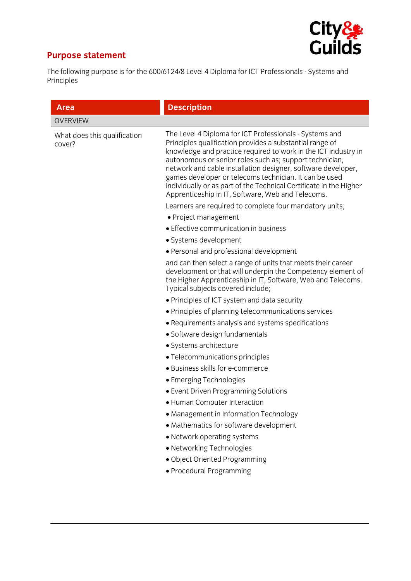

## **Purpose statement**

The following purpose is for the 600/6124/8 Level 4 Diploma for ICT Professionals - Systems and Principles

| The Level 4 Diploma for ICT Professionals - Systems and<br>Principles qualification provides a substantial range of<br>knowledge and practice required to work in the ICT industry in<br>autonomous or senior roles such as; support technician,<br>network and cable installation designer, software developer,<br>games developer or telecoms technician. It can be used<br>individually or as part of the Technical Certificate in the Higher<br>Apprenticeship in IT, Software, Web and Telecoms. |
|-------------------------------------------------------------------------------------------------------------------------------------------------------------------------------------------------------------------------------------------------------------------------------------------------------------------------------------------------------------------------------------------------------------------------------------------------------------------------------------------------------|
|                                                                                                                                                                                                                                                                                                                                                                                                                                                                                                       |
|                                                                                                                                                                                                                                                                                                                                                                                                                                                                                                       |
| Learners are required to complete four mandatory units;                                                                                                                                                                                                                                                                                                                                                                                                                                               |
| • Project management                                                                                                                                                                                                                                                                                                                                                                                                                                                                                  |
| • Effective communication in business                                                                                                                                                                                                                                                                                                                                                                                                                                                                 |
| • Systems development                                                                                                                                                                                                                                                                                                                                                                                                                                                                                 |
| • Personal and professional development                                                                                                                                                                                                                                                                                                                                                                                                                                                               |
| and can then select a range of units that meets their career<br>development or that will underpin the Competency element of<br>the Higher Apprenticeship in IT, Software, Web and Telecoms.<br>Typical subjects covered include;                                                                                                                                                                                                                                                                      |
| • Principles of ICT system and data security                                                                                                                                                                                                                                                                                                                                                                                                                                                          |
| • Principles of planning telecommunications services                                                                                                                                                                                                                                                                                                                                                                                                                                                  |
| • Requirements analysis and systems specifications                                                                                                                                                                                                                                                                                                                                                                                                                                                    |
| • Software design fundamentals                                                                                                                                                                                                                                                                                                                                                                                                                                                                        |
| • Systems architecture                                                                                                                                                                                                                                                                                                                                                                                                                                                                                |
| • Telecommunications principles                                                                                                                                                                                                                                                                                                                                                                                                                                                                       |
| · Business skills for e-commerce                                                                                                                                                                                                                                                                                                                                                                                                                                                                      |
| • Emerging Technologies                                                                                                                                                                                                                                                                                                                                                                                                                                                                               |
| • Event Driven Programming Solutions                                                                                                                                                                                                                                                                                                                                                                                                                                                                  |
| • Human Computer Interaction                                                                                                                                                                                                                                                                                                                                                                                                                                                                          |
| • Management in Information Technology                                                                                                                                                                                                                                                                                                                                                                                                                                                                |
| • Mathematics for software development                                                                                                                                                                                                                                                                                                                                                                                                                                                                |
| • Network operating systems                                                                                                                                                                                                                                                                                                                                                                                                                                                                           |
| • Networking Technologies                                                                                                                                                                                                                                                                                                                                                                                                                                                                             |
| · Object Oriented Programming                                                                                                                                                                                                                                                                                                                                                                                                                                                                         |
| • Procedural Programming                                                                                                                                                                                                                                                                                                                                                                                                                                                                              |
|                                                                                                                                                                                                                                                                                                                                                                                                                                                                                                       |
|                                                                                                                                                                                                                                                                                                                                                                                                                                                                                                       |
|                                                                                                                                                                                                                                                                                                                                                                                                                                                                                                       |
|                                                                                                                                                                                                                                                                                                                                                                                                                                                                                                       |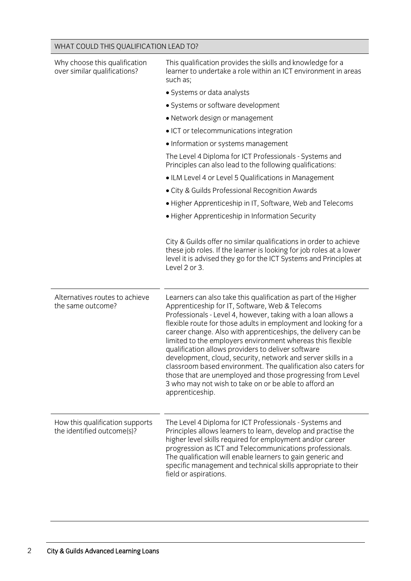| Why choose this qualification<br>over similar qualifications? | This qualification provides the skills and knowledge for a<br>learner to undertake a role within an ICT environment in areas<br>such as;                                                                                                                                                                                                                                                                                                                                                                                                                                                                                                                                                                                |
|---------------------------------------------------------------|-------------------------------------------------------------------------------------------------------------------------------------------------------------------------------------------------------------------------------------------------------------------------------------------------------------------------------------------------------------------------------------------------------------------------------------------------------------------------------------------------------------------------------------------------------------------------------------------------------------------------------------------------------------------------------------------------------------------------|
|                                                               | • Systems or data analysts                                                                                                                                                                                                                                                                                                                                                                                                                                                                                                                                                                                                                                                                                              |
|                                                               | • Systems or software development                                                                                                                                                                                                                                                                                                                                                                                                                                                                                                                                                                                                                                                                                       |
|                                                               | • Network design or management                                                                                                                                                                                                                                                                                                                                                                                                                                                                                                                                                                                                                                                                                          |
|                                                               | • ICT or telecommunications integration                                                                                                                                                                                                                                                                                                                                                                                                                                                                                                                                                                                                                                                                                 |
|                                                               | • Information or systems management                                                                                                                                                                                                                                                                                                                                                                                                                                                                                                                                                                                                                                                                                     |
|                                                               | The Level 4 Diploma for ICT Professionals - Systems and<br>Principles can also lead to the following qualifications:                                                                                                                                                                                                                                                                                                                                                                                                                                                                                                                                                                                                    |
|                                                               | • ILM Level 4 or Level 5 Qualifications in Management                                                                                                                                                                                                                                                                                                                                                                                                                                                                                                                                                                                                                                                                   |
|                                                               | • City & Guilds Professional Recognition Awards                                                                                                                                                                                                                                                                                                                                                                                                                                                                                                                                                                                                                                                                         |
|                                                               | • Higher Apprenticeship in IT, Software, Web and Telecoms                                                                                                                                                                                                                                                                                                                                                                                                                                                                                                                                                                                                                                                               |
|                                                               | • Higher Apprenticeship in Information Security                                                                                                                                                                                                                                                                                                                                                                                                                                                                                                                                                                                                                                                                         |
|                                                               | City & Guilds offer no similar qualifications in order to achieve<br>these job roles. If the learner is looking for job roles at a lower<br>level it is advised they go for the ICT Systems and Principles at<br>Level 2 or 3.                                                                                                                                                                                                                                                                                                                                                                                                                                                                                          |
| Alternatives routes to achieve<br>the same outcome?           | Learners can also take this qualification as part of the Higher<br>Apprenticeship for IT, Software, Web & Telecoms<br>Professionals - Level 4, however, taking with a loan allows a<br>flexible route for those adults in employment and looking for a<br>career change. Also with apprenticeships, the delivery can be<br>limited to the employers environment whereas this flexible<br>qualification allows providers to deliver software<br>development, cloud, security, network and server skills in a<br>classroom based environment. The qualification also caters for<br>those that are unemployed and those progressing from Level<br>3 who may not wish to take on or be able to afford an<br>apprenticeship. |
| How this qualification supports<br>the identified outcome(s)? | The Level 4 Diploma for ICT Professionals - Systems and<br>Principles allows learners to learn, develop and practise the<br>higher level skills required for employment and/or career<br>progression as ICT and Telecommunications professionals.<br>The qualification will enable learners to gain generic and<br>specific management and technical skills appropriate to their<br>field or aspirations.                                                                                                                                                                                                                                                                                                               |